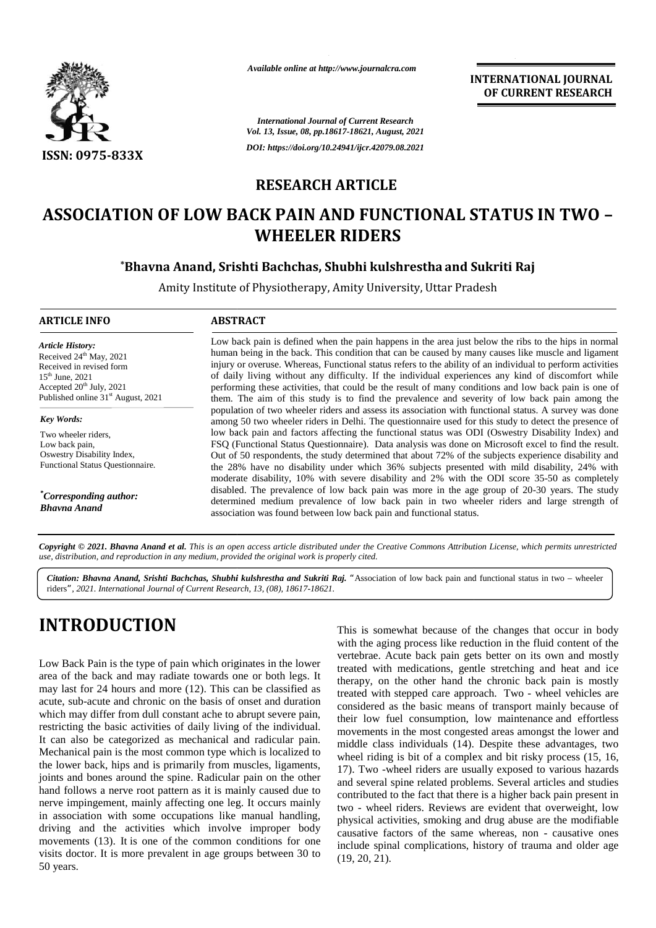

*Available online at http://www.journalcra.com*

**INTERNATIONAL JOURNAL OF CURRENT RESEARCH**

*International Journal of Current Research Vol. 13, Issue, 08, pp.18617-18621, August, 2021 DOI: https://doi.org/10.24941/ijcr.42079.08.2021*

## **RESEARCH ARTICLE**

# **ASSOCIATION OF LOW BACK PAIN AND FUNCTIONAL STATUS IN TWO – OF LOW TWO–WHEELER RIDERSWHEELER RIDERS**

### **\*Bhavna Anand, Srishti Bachchas, Shubhi kulshrestha and Sukriti Raj \*Srishti**

Amity Institute of Physiotherapy, Amity University, Uttar Pradesh

#### **ARTICLE INFO ABSTRACT ARTICLE ABSTRACT**

*Article History: Article History:* Received  $24^{\text{th}}$  May, 2021 Received  $24^{\circ}$  May,  $2021$ <br>
Received in revised form<br>  $15^{\text{th}}$  June,  $2021$ <br>
Accepted  $20^{\text{th}}$  July,  $2021$  $15<sup>th</sup>$  June,  $2021$ Accepted  $20^{\text{th}}$  July,  $2021$ Published online  $31<sup>st</sup>$  August, 2021 <sup>2021</sup><br>
International of damages of damages of damages of damages of damages of damages of damages of damages of them<br>
International of the popular<br>
International of the 2<br>
International of damages of the contract of the c form

*Key Words: Key*

Two wheeler riders, Low back pain, Oswestry Disability Index, Two wheeler riders,<br>Low back pain,<br>Oswestry Disability Index,<br>Functional Status Questionnaire.

 $^*$ Corresponding author:<br>Bhavna Anand *Bhavna Anand*

Low back pain is defined when the pain happens in the area just below the ribs to the hips in normal human being in the back. This condition that can be caused by many causes like muscle and ligament injury or overuse. Whereas, Functional status refers to the ability of an individual to perform activities of daily living without any difficulty. If the individual experiences any kind of discomfort while performing these activities, that could be the result of many conditions and low back pain is one of them. The aim of this study is to find the prevalence and severity of low back pain among the population of two wheeler riders and assess its association with functional status. A survey was done among 50 two wheeler riders in Delhi. The questionnaire used for this study to detect the presence of low back pain and factors affecting the functional status was ODI (Oswestry Disability Index) and FSQ (Functional Status Questionnaire). Data analysis was done on Microsoft excel to find the result. FSQ (Functional Status Questionnaire). Data analysis was done on Microsoft excel to find the result.<br>Out of 50 respondents, the study determined that about 72% of the subjects experience disability and the 28% have no disability under which 36% subjects presented with mild disability, 24% with moderate disability, 10% with severe disability and 2% with the ODI score 35-50 as completely disabled. The prevalence of low back pain was more in the age group of 20-30 years. The study determined medium prevalence of low back pain in two wheeler riders and large strength of association was found between low back pain and functional status. Low back pain is defined when the pain happens in the area just below the ribs to the hips in normal<br>human being in the back. This condition that can be caused by many causes like muscle and ligament<br>injury or overuse. Whe 50 because the changes in reduction in theown stretching and icemeans oflow movements amongst lower tworiding is bit and process 17). -wheel are to related Several articles studiespain riders. lowactivities, abuse of onesage(19, 20, *International Journal of*  Low back pain is defined when the pain happens in the area just below the ribs to the hips<br>
human being in the back. This condition that can be caused by many causes like muscle and<br>
injury or overuse. Whereas, Functional

Copyright © 2021. Bhavna Anand et al. This is an open access article distributed under the Creative Commons Attribution License, which permits unrestricted **Copyright © 2021. Bhavna Anand et al.** This is an open access article distributed under the Crea<br>use, distribution, and reproduction in any medium, provided the original work is properly cited.

Citation: Bhavna Anand, Srishti Bachchas, Shubhi kulshrestha and Sukriti Raj. "Association of low back pain and functional status in two - wheeler riders*", 2021. International Journal of Current Research, 13, (08), 18617-18621.*

# **INTRODUCTION INTRODUCTION**

Low Back Pain is the type of pain which originates in the lower area of the back and may radiate towards one or both legs. It may last for 24 hours and more (12). This can be classified as acute, sub-acute and chronic on the basis of onset and duration which may differ from dull constant ache to abrupt severe pain, restricting the basic activities of daily living of the individual. It can also be categorized as mechanical and radicular pain. Mechanical pain is the most common type which is localized to the lower back, hips and is primarily from muscles, ligaments, joints and bones around the spine. Radicular pain on the other hand follows a nerve root pattern as it is mainly caused due to nerve impingement, mainly affecting one leg. It occurs mainly<br>in association with some occupations like manual handling,<br>driving and the activities which involve improper body<br>movements (13). It is one of the common condit in association with some occupations like manual handling, driving and the activities which involve improper body movements (13). It is one of the common conditions for one visits doctor. It is more prevalent in age groups between 30 to  $(10^{-10})$ 50 years. Low Back Pain is the type of pain which originates in the lower<br>
area of the back and more (12). This can be classified as<br>
acute, sub-acute and chronic on the basis of onset and duration<br>
which may differ from dull consta

This is somewhat because of the changes that occur in body with the aging process like reduction in the fluid content of the vertebrae. Acute back pain gets better on its own and mostly treated with medications, gentle stretching and heat and ice therapy, on the other hand the chronic back pain is mostly treated with stepped care approach. Two - wheel vehicles are considered as the basic means of transport mainly because of their low fuel consumption, low maintenance and effortless movements in the most congested areas amongst the lower and middle class individuals (14). Despite these advantages, two wheel riding is bit of a complex and bit risky process (15, 16, 17). Two -wheel riders are usually exposed to various hazards and several spine related problems. Several articles and studies contributed to the fact that there is a higher back pain present in two - wheel riders. Reviews are evident that overweight, low physical activities, smoking and drug abuse are the modifiable causative factors of the same whereas, non - causative ones include spinal complications, history of trauma and older age (19, 20, 21). Status Questionnaire.<br>
Status Questionnaire.<br>
The 28% have no disability under which also thin midd disability<br>
moderate disability at the composite which were the So<sup>4</sup> with the ODI score 35-50 and<br> *attary disabled.* Th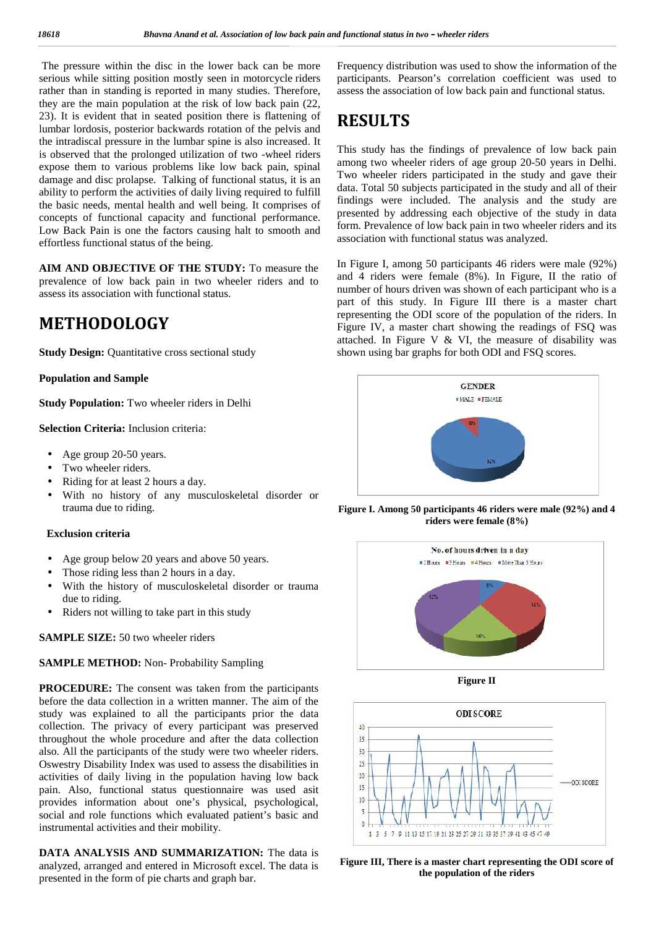The pressure within the disc in the lower back can be more serious while sitting position mostly seen in motorcycle riders rather than in standing is reported in many studies. Therefore, they are the main population at the risk of low back pain (22, 23). It is evident that in seated position there is flattening of lumbar lordosis, posterior backwards rotation of the pelvis and the intradiscal pressure in the lumbar spine is also increased. It is observed that the prolonged utilization of two -wheel riders expose them to various problems like low back pain, spinal damage and disc prolapse. Talking of functional status, it is an ability to perform the activities of daily living required to fulfill the basic needs, mental health and well being. It comprises of concepts of functional capacity and functional performance. Low Back Pain is one the factors causing halt to smooth and effortless functional status of the being.

**AIM AND OBJECTIVE OF THE STUDY:** To measure the prevalence of low back pain in two wheeler riders and to assess its association with functional status.

# **METHODOLOGY**

**Study Design:** Quantitative cross sectional study

**Population and Sample**

**Study Population:** Two wheeler riders in Delhi

**Selection Criteria:** Inclusion criteria:

- Age group 20-50 years.
- Two wheeler riders.
- Riding for at least 2 hours a day.
- With no history of any musculoskeletal disorder or trauma due to riding.

#### **Exclusion criteria**

- Age group below 20 years and above 50 years.
- Those riding less than 2 hours in a day.
- With the history of musculoskeletal disorder or trauma due to riding.
- Riders not willing to take part in this study

**SAMPLE SIZE:** 50 two wheeler riders

#### **SAMPLE METHOD:** Non- Probability Sampling

**PROCEDURE:** The consent was taken from the participants before the data collection in a written manner. The aim of the study was explained to all the participants prior the data collection. The privacy of every participant was preserved throughout the whole procedure and after the data collection also. All the participants of the study were two wheeler riders. Oswestry Disability Index was used to assess the disabilities in  $\frac{25}{20}$  activities of daily living in the population having low hack activities of daily living in the population having low back  $\frac{20}{15}$ pain. Also, functional status questionnaire was used asit provides information about one's physical, psychological, social and role functions which evaluated patient's basic and instrumental activities and their mobility.

**DATA ANALYSIS AND SUMMARIZATION:** The data is analyzed, arranged and entered in Microsoft excel. The data is presented in the form of pie charts and graph bar.

Frequency distribution was used to show the information of the participants. Pearson's correlation coefficient was used to assess the association of low back pain and functional status.

# **RESULTS**

This study has the findings of prevalence of low back pain among two wheeler riders of age group 20-50 years in Delhi. Two wheeler riders participated in the study and gave their data. Total 50 subjects participated in the study and all of their findings were included. The analysis and the study are presented by addressing each objective of the study in data form. Prevalence of low back pain in two wheeler riders and its association with functional status was analyzed.

In Figure I, among 50 participants 46 riders were male (92%) and 4 riders were female (8%). In Figure, II the ratio of number of hours driven was shown of each participant who is a part of this study. In Figure III there is a master chart representing the ODI score of the population of the riders. In Figure IV, a master chart showing the readings of FSQ was attached. In Figure V & VI, the measure of disability was shown using bar graphs for both ODI and FSQ scores.



**Figure I. Among 50 participants 46 riders were male (92%) and 4 riders were female (8%)**



**Figure II**



**Figure III, There is a master chart representing the ODI score of the population of the riders**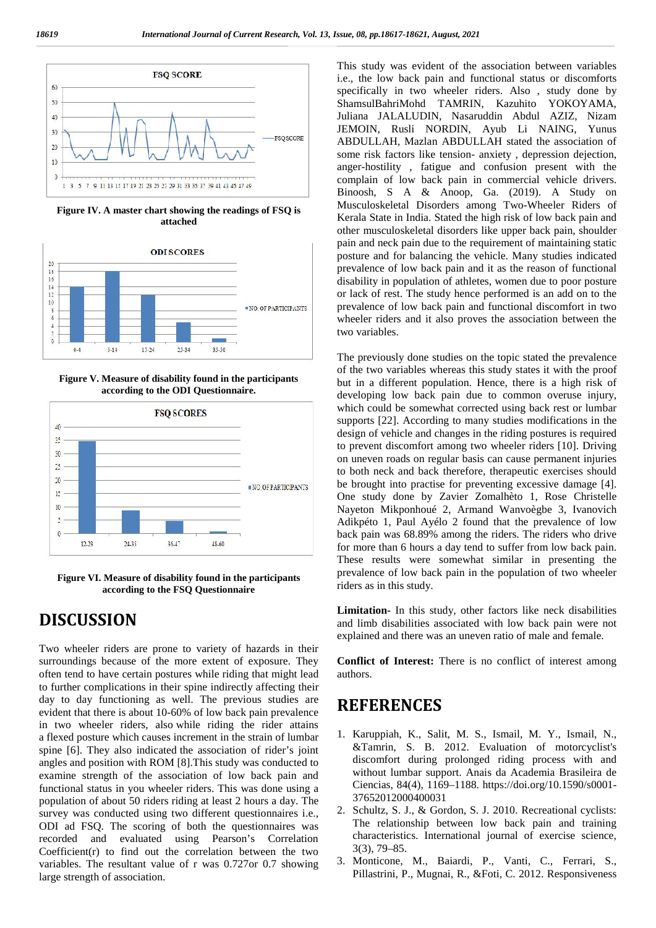

**Figure IV. A master chart showing the readings of FSQ is attached**



**Figure V. Measure of disability found in the participants according to the ODI Questionnaire.**



**Figure VI. Measure of disability found in the participants according to the FSQ Questionnaire**

## **DISCUSSION**

Two wheeler riders are prone to variety of hazards in their surroundings because of the more extent of exposure. They often tend to have certain postures while riding that might lead to further complications in their spine indirectly affecting their day to day functioning as well. The previous studies are evident that there is about 10-60% of low back pain prevalence in two wheeler riders, also while riding the rider attains a flexed posture which causes increment in the strain of lumbar spine [6]. They also indicated the association of rider's joint angles and position with ROM [8].This study was conducted to examine strength of the association of low back pain and functional status in you wheeler riders. This was done using a population of about 50 riders riding at least 2 hours a day. The survey was conducted using two different questionnaires i.e., ODI ad FSQ. The scoring of both the questionnaires was recorded and evaluated using Pearson's Correlation Coefficient(r) to find out the correlation between the two variables. The resultant value of r was 0.727or 0.7 showing large strength of association.

This study was evident of the association between variables i.e., the low back pain and functional status or discomforts specifically in two wheeler riders. Also , study done by ShamsulBahriMohd TAMRIN, Kazuhito YOKOYAMA, Juliana JALALUDIN, Nasaruddin Abdul AZIZ, Nizam JEMOIN, Rusli NORDIN, Ayub Li NAING, Yunus ABDULLAH, Mazlan ABDULLAH stated the association of some risk factors like tension- anxiety , depression dejection, anger-hostility , fatigue and confusion present with the complain of low back pain in commercial vehicle drivers. Binoosh, S A & Anoop, Ga. (2019). A Study on Musculoskeletal Disorders among Two-Wheeler Riders of Kerala State in India. Stated the high risk of low back pain and other musculoskeletal disorders like upper back pain, shoulder pain and neck pain due to the requirement of maintaining static posture and for balancing the vehicle. Many studies indicated prevalence of low back pain and it as the reason of functional disability in population of athletes, women due to poor posture or lack of rest. The study hence performed is an add on to the prevalence of low back pain and functional discomfort in two wheeler riders and it also proves the association between the two variables.

The previously done studies on the topic stated the prevalence of the two variables whereas this study states it with the proof but in a different population. Hence, there is a high risk of developing low back pain due to common overuse injury, which could be somewhat corrected using back rest or lumbar supports [22]. According to many studies modifications in the design of vehicle and changes in the riding postures is required to prevent discomfort among two wheeler riders [10]. Driving on uneven roads on regular basis can cause permanent injuries to both neck and back therefore, therapeutic exercises should be brought into practise for preventing excessive damage [4]. One study done by Zavier Zomalhèto 1, Rose Christelle Nayeton Mikponhoué 2, Armand Wanvoègbe 3, Ivanovich Adikpéto 1, Paul Ayélo 2 found that the prevalence of low back pain was 68.89% among the riders. The riders who drive for more than 6 hours a day tend to suffer from low back pain. These results were somewhat similar in presenting the prevalence of low back pain in the population of two wheeler riders as in this study.

**Limitation-** In this study, other factors like neck disabilities and limb disabilities associated with low back pain were not explained and there was an uneven ratio of male and female.

**Conflict of Interest:** There is no conflict of interest among authors.

## **REFERENCES**

- 1. Karuppiah, K., Salit, M. S., Ismail, M. Y., Ismail, N., &Tamrin, S. B. 2012. Evaluation of motorcyclist's discomfort during prolonged riding process with and without lumbar support. Anais da Academia Brasileira de Ciencias, 84(4), 1169–1188. https://doi.org/10.1590/s0001- 37652012000400031
- 2. Schultz, S. J., & Gordon, S. J. 2010. Recreational cyclists: The relationship between low back pain and training characteristics. International journal of exercise science, 3(3), 79–85.
- 3. Monticone, M., Baiardi, P., Vanti, C., Ferrari, S., Pillastrini, P., Mugnai, R., &Foti, C. 2012. Responsiveness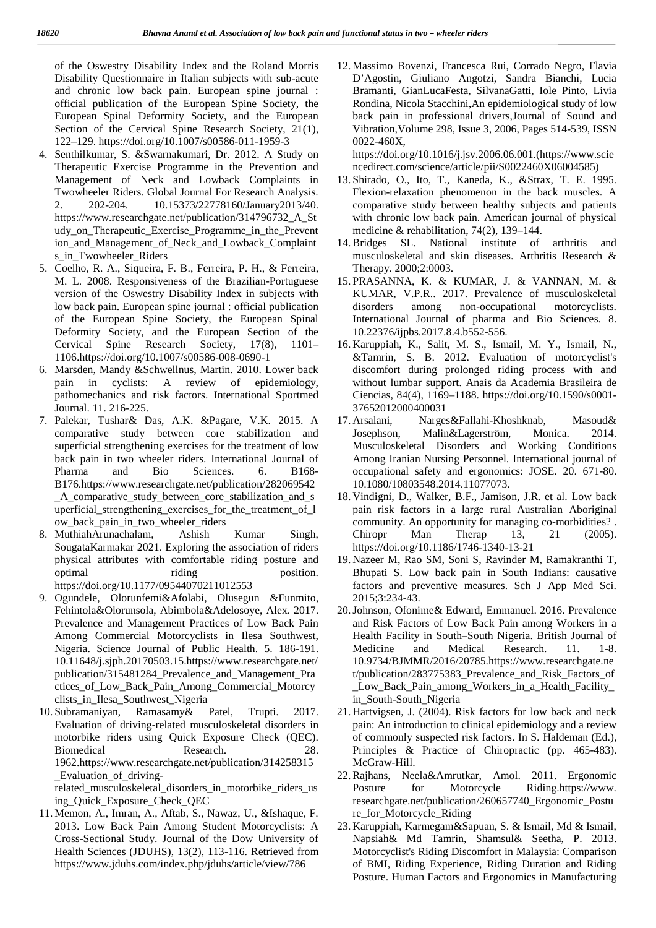of the Oswestry Disability Index and the Roland Morris Disability Questionnaire in Italian subjects with sub-acute and chronic low back pain. European spine journal : official publication of the European Spine Society, the European Spinal Deformity Society, and the European Section of the Cervical Spine Research Society, 21(1), 122–129. https://doi.org/10.1007/s00586-011-1959-3

- 4. Senthilkumar, S. &Swarnakumari, Dr. 2012. A Study on Therapeutic Exercise Programme in the Prevention and Management of Neck and Lowback Complaints in Twowheeler Riders. Global Journal For Research Analysis. 2. 202-204. 10.15373/22778160/January2013/40. https://www.researchgate.net/publication/314796732\_A\_St udy\_on\_Therapeutic\_Exercise\_Programme\_in\_the\_Prevent ion\_and\_Management\_of\_Neck\_and\_Lowback\_Complaint s\_in\_Twowheeler\_Riders
- 5. Coelho, R. A., Siqueira, F. B., Ferreira, P. H., & Ferreira, M. L. 2008. Responsiveness of the Brazilian-Portuguese version of the Oswestry Disability Index in subjects with low back pain. European spine journal : official publication disorders of the European Spine Society, the European Spinal Deformity Society, and the European Section of the Cervical Spine Research Society, 17(8), 1101– 1106.https://doi.org/10.1007/s00586-008-0690-1
- 6. Marsden, Mandy &Schwellnus, Martin. 2010. Lower back pain in cyclists: A review of epidemiology, pathomechanics and risk factors. International Sportmed Journal. 11. 216-225.
- 7. Palekar, Tushar& Das, A.K. &Pagare, V.K. 2015. A comparative study between core stabilization and superficial strengthening exercises for the treatment of low back pain in two wheeler riders. International Journal of Pharma and Bio Sciences. 6. B168- B176.https://www.researchgate.net/publication/282069542 \_A\_comparative\_study\_between\_core\_stabilization\_and\_s uperficial\_strengthening\_exercises\_for\_the\_treatment\_of\_l ow\_back\_pain\_in\_two\_wheeler\_riders
- 8. MuthiahArunachalam, Ashish Kumar Singh, SougataKarmakar 2021. Exploring the association of riders physical attributes with comfortable riding posture and optimal riding position. https://doi.org/10.1177/09544070211012553
- 9. Ogundele, Olorunfemi&Afolabi, Olusegun &Funmito, Fehintola&Olorunsola, Abimbola&Adelosoye, Alex. 2017. Prevalence and Management Practices of Low Back Pain Among Commercial Motorcyclists in Ilesa Southwest, Nigeria. Science Journal of Public Health. 5. 186-191. 10.11648/j.sjph.20170503.15.https://www.researchgate.net/ publication/315481284\_Prevalence\_and\_Management\_Pra ctices\_of\_Low\_Back\_Pain\_Among\_Commercial\_Motorcy clists\_in\_Ilesa\_Southwest\_Nigeria
- 10. Subramaniyan, Ramasamy& Patel, Trupti. 2017. Evaluation of driving-related musculoskeletal disorders in motorbike riders using Quick Exposure Check (QEC). Biomedical Research. 28. 1962.https://www.researchgate.net/publication/314258315 \_Evaluation\_of\_driving-

related\_musculoskeletal\_disorders\_in\_motorbike\_riders\_us ing\_Quick\_Exposure\_Check\_QEC

11. Memon, A., Imran, A., Aftab, S., Nawaz, U., &Ishaque, F. 2013. Low Back Pain Among Student Motorcyclists: A Cross-Sectional Study. Journal of the Dow University of Health Sciences (JDUHS), 13(2), 113-116. Retrieved from https://www.jduhs.com/index.php/jduhs/article/view/786

12. Massimo Bovenzi, Francesca Rui, Corrado Negro, Flavia D'Agostin, Giuliano Angotzi, Sandra Bianchi, Lucia Bramanti, GianLucaFesta, SilvanaGatti, Iole Pinto, Livia Rondina, Nicola Stacchini,An epidemiological study of low back pain in professional drivers,Journal of Sound and Vibration,Volume 298, Issue 3, 2006, Pages 514-539, ISSN 0022-460X,

https://doi.org/10.1016/j.jsv.2006.06.001.(https://www.scie ncedirect.com/science/article/pii/S0022460X06004585)

- 13. Shirado, O., Ito, T., Kaneda, K., &Strax, T. E. 1995. Flexion-relaxation phenomenon in the back muscles. A comparative study between healthy subjects and patients with chronic low back pain. American journal of physical medicine & rehabilitation, 74(2), 139–144.
- 14.Bridges SL. National institute of arthritis and musculoskeletal and skin diseases. Arthritis Research & Therapy. 2000;2:0003.
- 15. PRASANNA, K. & KUMAR, J. & VANNAN, M. & KUMAR, V.P.R.. 2017. Prevalence of musculoskeletal among non-occupational motorcyclists. International Journal of pharma and Bio Sciences. 8. 10.22376/ijpbs.2017.8.4.b552-556.
- 16. Karuppiah, K., Salit, M. S., Ismail, M. Y., Ismail, N., &Tamrin, S. B. 2012. Evaluation of motorcyclist's discomfort during prolonged riding process with and without lumbar support. Anais da Academia Brasileira de Ciencias, 84(4), 1169–1188. https://doi.org/10.1590/s0001- 37652012000400031
- Narges&Fallahi-Khoshknab, Masoud& Malin&Lagerström, Monica. 2014. Musculoskeletal Disorders and Working Conditions Among Iranian Nursing Personnel. International journal of occupational safety and ergonomics: JOSE. 20. 671-80. 10.1080/10803548.2014.11077073.
- 18. Vindigni, D., Walker, B.F., Jamison, J.R. et al. Low back pain risk factors in a large rural Australian Aboriginal community. An opportunity for managing co-morbidities? . Chiropr Man Therap 13, 21 (2005). https://doi.org/10.1186/1746-1340-13-21
- 19. Nazeer M, Rao SM, Soni S, Ravinder M, Ramakranthi T, Bhupati S. Low back pain in South Indians: causative factors and preventive measures. Sch J App Med Sci. 2015;3:234-43.
- 20.Johnson, Ofonime& Edward, Emmanuel. 2016. Prevalence and Risk Factors of Low Back Pain among Workers in a Health Facility in South–South Nigeria. British Journal of Medicine and Medical Research. 11. 1-8. 10.9734/BJMMR/2016/20785.https://www.researchgate.ne t/publication/283775383\_Prevalence\_and\_Risk\_Factors\_of Low Back Pain among Workers in a Health Facility in South-South Nigeria
- 21. Hartvigsen, J. (2004). Risk factors for low back and neck pain: An introduction to clinical epidemiology and a review of commonly suspected risk factors. In S. Haldeman (Ed.), Principles & Practice of Chiropractic (pp. 465-483). McGraw-Hill.
- 22.Rajhans, Neela&Amrutkar, Amol. 2011. Ergonomic Posture for Motorcycle Riding.https://www. researchgate.net/publication/260657740\_Ergonomic\_Postu re for Motorcycle Riding
- 23. Karuppiah, Karmegam&Sapuan, S. & Ismail, Md & Ismail, Napsiah& Md Tamrin, Shamsul& Seetha, P. 2013. Motorcyclist's Riding Discomfort in Malaysia: Comparison of BMI, Riding Experience, Riding Duration and Riding Posture. Human Factors and Ergonomics in Manufacturing